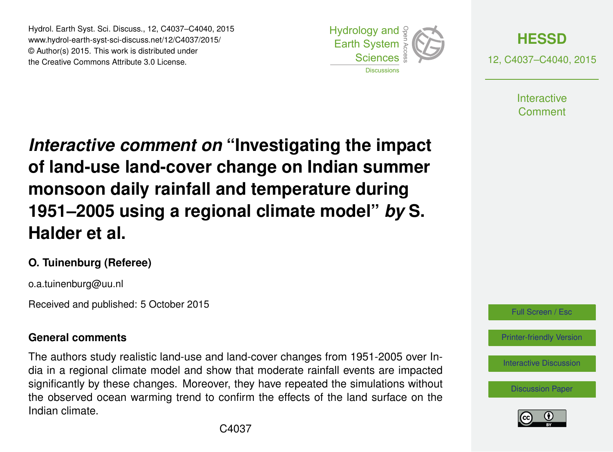Hydrol. Earth Syst. Sci. Discuss., 12, C4037–C4040, 2015 www.hydrol-earth-syst-sci-discuss.net/12/C4037/2015/ © Author(s) 2015. This work is distributed under the Creative Commons Attribute 3.0 License.





12, C4037–C4040, 2015

**Interactive** Comment

*Interactive comment on* **"Investigating the impact of land-use land-cover change on Indian summer monsoon daily rainfall and temperature during 1951–2005 using a regional climate model"** *by* **S. Halder et al.**

### **O. Tuinenburg (Referee)**

o.a.tuinenburg@uu.nl

Received and published: 5 October 2015

## **General comments**

The authors study realistic land-use and land-cover changes from 1951-2005 over India in a regional climate model and show that moderate rainfall events are impacted significantly by these changes. Moreover, they have repeated the simulations without the observed ocean warming trend to confirm the effects of the land surface on the Indian climate.



[Printer-friendly Version](http://www.hydrol-earth-syst-sci-discuss.net/12/C4037/2015/hessd-12-C4037-2015-print.pdf)

[Interactive Discussion](http://www.hydrol-earth-syst-sci-discuss.net/12/6575/2015/hessd-12-6575-2015-discussion.html)

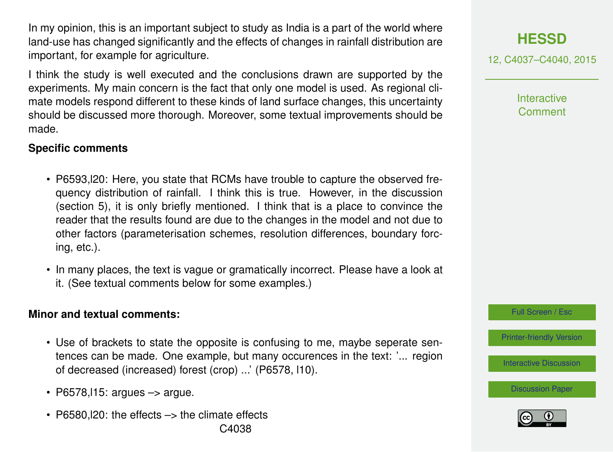In my opinion, this is an important subject to study as India is a part of the world where land-use has changed significantly and the effects of changes in rainfall distribution are important, for example for agriculture.

I think the study is well executed and the conclusions drawn are supported by the experiments. My main concern is the fact that only one model is used. As regional climate models respond different to these kinds of land surface changes, this uncertainty should be discussed more thorough. Moreover, some textual improvements should be made.

#### **Specific comments**

- P6593,l20: Here, you state that RCMs have trouble to capture the observed frequency distribution of rainfall. I think this is true. However, in the discussion (section 5), it is only briefly mentioned. I think that is a place to convince the reader that the results found are due to the changes in the model and not due to other factors (parameterisation schemes, resolution differences, boundary forcing, etc.).
- In many places, the text is vague or gramatically incorrect. Please have a look at it. (See textual comments below for some examples.)

#### **Minor and textual comments:**

- Use of brackets to state the opposite is confusing to me, maybe seperate sentences can be made. One example, but many occurences in the text: '... region of decreased (increased) forest (crop) ...' (P6578, l10).
- P6578,  $115$ : argues  $\rightarrow$  argue.
- P6580.120: the effects -> the climate effects C4038

# **[HESSD](http://www.hydrol-earth-syst-sci-discuss.net)**

12, C4037–C4040, 2015

**Interactive Comment** 

Full Screen / Esc

[Printer-friendly Version](http://www.hydrol-earth-syst-sci-discuss.net/12/C4037/2015/hessd-12-C4037-2015-print.pdf)

[Interactive Discussion](http://www.hydrol-earth-syst-sci-discuss.net/12/6575/2015/hessd-12-6575-2015-discussion.html)

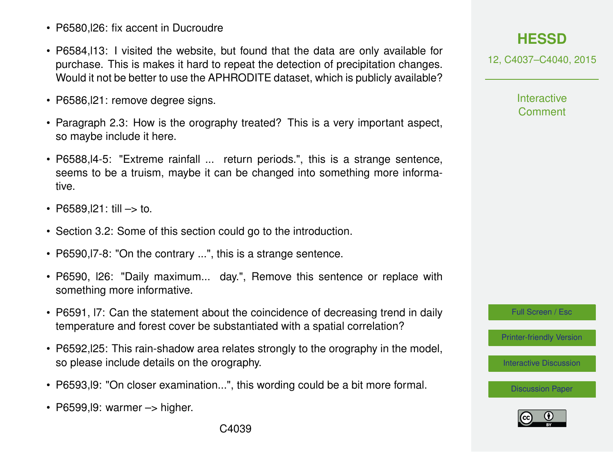- P6580.126: fix accent in Ducroudre
- P6584,l13: I visited the website, but found that the data are only available for purchase. This is makes it hard to repeat the detection of precipitation changes. Would it not be better to use the APHRODITE dataset, which is publicly available?
- P6586, 21: remove degree signs.
- Paragraph 2.3: How is the orography treated? This is a very important aspect, so maybe include it here.
- P6588,l4-5: "Extreme rainfall ... return periods.", this is a strange sentence, seems to be a truism, maybe it can be changed into something more informative.
- P6589.121: till  $\rightarrow$  to.
- Section 3.2: Some of this section could go to the introduction.
- P6590,l7-8: "On the contrary ...", this is a strange sentence.
- P6590, l26: "Daily maximum... day.", Remove this sentence or replace with something more informative.
- P6591, l7: Can the statement about the coincidence of decreasing trend in daily temperature and forest cover be substantiated with a spatial correlation?
- P6592,l25: This rain-shadow area relates strongly to the orography in the model, so please include details on the orography.
- P6593,l9: "On closer examination...", this wording could be a bit more formal.
- $\cdot$  P6599, l9: warmer  $\rightarrow$  higher.

# **[HESSD](http://www.hydrol-earth-syst-sci-discuss.net)**

12, C4037–C4040, 2015

**Interactive Comment** 

Full Screen / Esc

[Printer-friendly Version](http://www.hydrol-earth-syst-sci-discuss.net/12/C4037/2015/hessd-12-C4037-2015-print.pdf)

[Interactive Discussion](http://www.hydrol-earth-syst-sci-discuss.net/12/6575/2015/hessd-12-6575-2015-discussion.html)